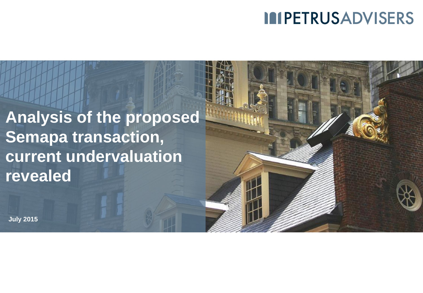### **IMPETRUSADVISERS**

**Analysis of the proposed Semapa transaction, current undervaluation revealed**

**July 2015**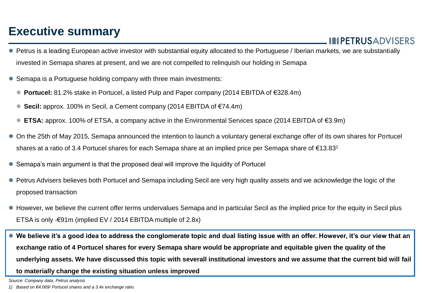#### **Executive summary**

**MPETRUSADVISERS** 

- Petrus is a leading European active investor with substantial equity allocated to the Portuguese / Iberian markets, we are substantially invested in Semapa shares at present, and we are not compelled to relinquish our holding in Semapa
- Semapa is a Portuguese holding company with three main investments:
	- **Portucel:** 81.2% stake in Portucel, a listed Pulp and Paper company (2014 EBITDA of €328.4m)
	- **Secil:** approx. 100% in Secil, a Cement company (2014 EBITDA of €74.4m)
	- **ETSA:** approx. 100% of ETSA, a company active in the Environmental Services space (2014 EBITDA of €3.9m)
- On the 25th of May 2015, Semapa announced the intention to launch a voluntary general exchange offer of its own shares for Portucel shares at a ratio of 3.4 Portucel shares for each Semapa share at an implied price per Semapa share of €13.83<sup>1</sup>
- Semapa's main argument is that the proposed deal will improve the liquidity of Portucel
- Petrus Advisers believes both Portucel and Semapa including Secil are very high quality assets and we acknowledge the logic of the proposed transaction
- However, we believe the current offer terms undervalues Semapa and in particular Secil as the implied price for the equity in Secil plus ETSA is only -€91m (implied EV / 2014 EBITDA multiple of 2.8x)

 **We believe it's a good idea to address the conglomerate topic and dual listing issue with an offer. However, it's our view that an exchange ratio of 4 Portucel shares for every Semapa share would be appropriate and equitable given the quality of the underlying assets. We have discussed this topic with severall institutional investors and we assume that the current bid will fail to materially change the existing situation unless improved**

*Source: Company data, Petrus analysis*

*<sup>1)</sup> Based on €4.069/ Portucel shares and a 3.4x exchange ratio.*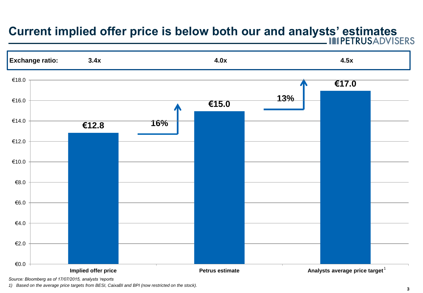# **Current implied offer price is below both our and analysts' estimates**



*1) Based on the average price targets from BESI, CaixaBI and BPI (now restricted on the stock).*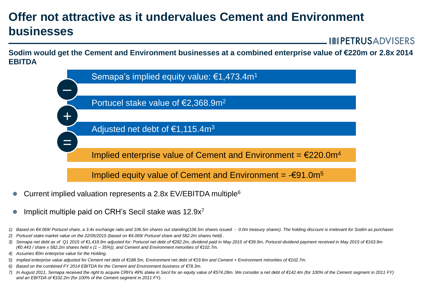### **Offer not attractive as it undervalues Cement and Environment businesses**

**MPETRUSADVISERS** 

**Sodim would get the Cement and Environment businesses at a combined enterprise value of €220m or 2.8x 2014 EBITDA**



- Current implied valuation represents a 2.8x EV/EBITDA multiple<sup>6</sup>
- Implicit multiple paid on CRH's Secil stake was 12.9x<sup>7</sup>
- *1) Based on €4.069/ Portucel share, a 3.4x exchange ratio and 106.5m shares out standing(106.5m shares issued 0.0m treasury shares). The holding discount is irrelevant for Sodim as purchaser.*
- *2) Portucel stake market value on the 22/05/2015 (based on €4.069/ Portucel share and 582.2m shares held) .*
- *3) Semapa net debt as of Q1 2015 of €1,418.9m adjusted for: Portucel net debt of €282.2m, dividend paid in May 2015 of €39.9m, Portucel dividend payment received in May 2015 of €163.9m (€0.443 / share x 582.2m shares held x (1 – 35%)), and Cement and Environment minorities of €102.7m.*
- *4) Assumes €0m enterprise value for the Holding.*
- *5) Implied enterprise value adjusted for Cement net debt of €188.5m, Environment net debt of €19.6m and Cement + Environment minorities of €102.7m.*
- *6) Based on the combined FY 2014 EBITDA for the Cement and Environment business of €78.3m.*
- *7) In August 2011, Semapa received the right to acquire CRH's 49% stake in Secil for an equity value of €574.28m. We consider a net debt of €142.4m (for 100% of the Cement segment in 2011 FY) and an EBITDA of €102.2m (for 100% of the Cement segment in 2011 FY).*